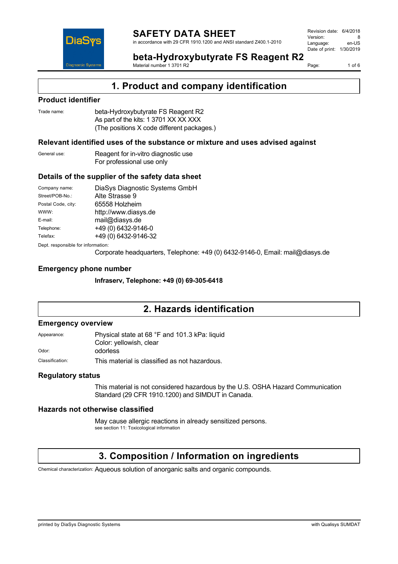

**beta-Hydroxybutyrate FS Reagent R2** Material number 1 3701 R2

Page: 1 of 6

## **1. Product and company identification**

## **Product identifier**

| Trade name: | beta-Hydroxybutyrate FS Reagent R2         |
|-------------|--------------------------------------------|
|             | As part of the kits: 1 3701 XX XX XXX      |
|             | (The positions X code different packages.) |

## **Relevant identified uses of the substance or mixture and uses advised against**

| General use: | Reagent for in-vitro diagnostic use |
|--------------|-------------------------------------|
|              | For professional use only           |

### **Details of the supplier of the safety data sheet**

| Company name:                      | DiaSys Diagnostic Systems GmbH |  |
|------------------------------------|--------------------------------|--|
| Street/POB-No.:                    | Alte Strasse 9                 |  |
| Postal Code, city:                 | 65558 Holzheim                 |  |
| WWW:                               | http://www.diasys.de           |  |
| E-mail:                            | mail@diasys.de                 |  |
| Telephone:                         | +49 (0) 6432-9146-0            |  |
| Telefax:                           | +49 (0) 6432-9146-32           |  |
| Dept. responsible for information: |                                |  |

Corporate headquarters, Telephone: +49 (0) 6432-9146-0, Email: mail@diasys.de

## **Emergency phone number**

**Infraserv, Telephone: +49 (0) 69-305-6418**

## **2. Hazards identification**

#### **Emergency overview**

Appearance: Physical state at 68 °F and 101.3 kPa: liquid Color: yellowish, clear Odor: odorless

Classification: This material is classified as not hazardous.

## **Regulatory status**

This material is not considered hazardous by the U.S. OSHA Hazard Communication Standard (29 CFR 1910.1200) and SIMDUT in Canada.

## **Hazards not otherwise classified**

May cause allergic reactions in already sensitized persons. see section 11: Toxicological information

## **3. Composition / Information on ingredients**

Chemical characterization: Aqueous solution of anorganic salts and organic compounds.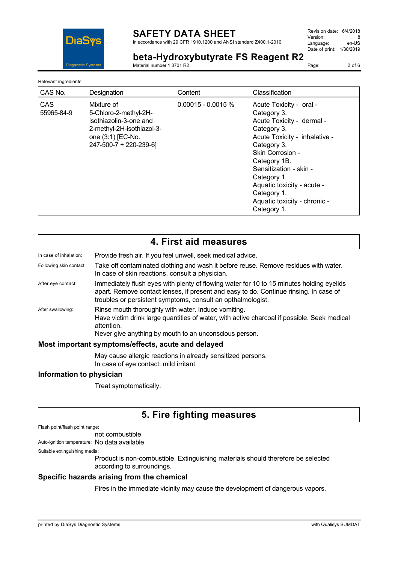

in accordance with 29 CFR 1910.1200 and ANSI standard Z400.1-2010

Revision date: 6/4/2018 Version: 8<br>Language: en-US Language: Date of print: 1/30/2019

### **beta-Hydroxybutyrate FS Reagent R2** Material number 1 3701 R2

Page: 2 of 6

Relevant ingredients:

| CAS No.                  | Designation                                                                                                                               | Content              | Classification                                                                                                                                                                                                                                                                                              |
|--------------------------|-------------------------------------------------------------------------------------------------------------------------------------------|----------------------|-------------------------------------------------------------------------------------------------------------------------------------------------------------------------------------------------------------------------------------------------------------------------------------------------------------|
| <b>CAS</b><br>55965-84-9 | Mixture of<br>5-Chloro-2-methyl-2H-<br>isothiazolin-3-one and<br>2-methyl-2H-isothiazol-3-<br>one (3:1) [EC-No.<br>247-500-7 + 220-239-6] | $0.00015 - 0.0015$ % | Acute Toxicity - oral -<br>Category 3.<br>Acute Toxicity - dermal -<br>Category 3.<br>Acute Toxicity - inhalative -<br>Category 3.<br>Skin Corrosion -<br>Category 1B.<br>Sensitization - skin -<br>Category 1.<br>Aquatic toxicity - acute -<br>Category 1.<br>Aquatic toxicity - chronic -<br>Category 1. |

|                                                    | 4. First aid measures                                                                                                                                                                                                                            |  |
|----------------------------------------------------|--------------------------------------------------------------------------------------------------------------------------------------------------------------------------------------------------------------------------------------------------|--|
| In case of inhalation:                             | Provide fresh air. If you feel unwell, seek medical advice.                                                                                                                                                                                      |  |
| Following skin contact:                            | Take off contaminated clothing and wash it before reuse. Remove residues with water.<br>In case of skin reactions, consult a physician.                                                                                                          |  |
| After eye contact:                                 | Immediately flush eyes with plenty of flowing water for 10 to 15 minutes holding eyelids<br>apart. Remove contact lenses, if present and easy to do. Continue rinsing. In case of<br>troubles or persistent symptoms, consult an opthalmologist. |  |
| After swallowing:                                  | Rinse mouth thoroughly with water. Induce vomiting.<br>Have victim drink large quantities of water, with active charcoal if possible. Seek medical<br>attention.<br>Never give anything by mouth to an unconscious person.                       |  |
| Most important symptoms/effects, acute and delayed |                                                                                                                                                                                                                                                  |  |

May cause allergic reactions in already sensitized persons. In case of eye contact: mild irritant

## **Information to physician**

Treat symptomatically.

## **5. Fire fighting measures**

Flash point/flash point range:

not combustible

Auto-ignition temperature: No data available

Suitable extinguishing media:

Product is non-combustible. Extinguishing materials should therefore be selected according to surroundings.

## **Specific hazards arising from the chemical**

Fires in the immediate vicinity may cause the development of dangerous vapors.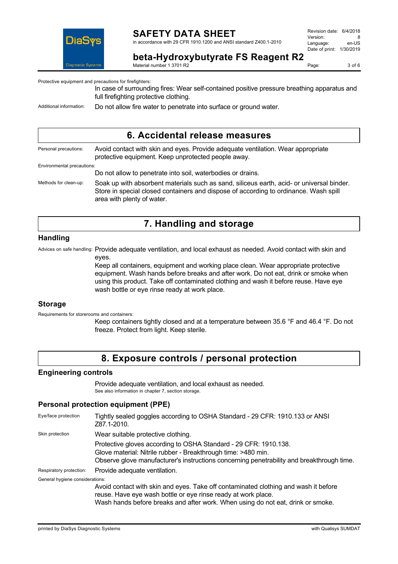

in accordance with 29 CFR 1910.1200 and ANSI standard Z400.1-2010

Page: 3 of 6

**beta-Hydroxybutyrate FS Reagent R2**

Material number 1 3701 R2

Protective equipment and precautions for firefighters:

In case of surrounding fires: Wear self-contained positive pressure breathing apparatus and full firefighting protective clothing.

Additional information: Do not allow fire water to penetrate into surface or ground water.

## **6. Accidental release measures**

Personal precautions: Avoid contact with skin and eyes. Provide adequate ventilation. Wear appropriate protective equipment. Keep unprotected people away. Environmental precautions: Do not allow to penetrate into soil, waterbodies or drains. Methods for clean-up: Soak up with absorbent materials such as sand, siliceus earth, acid- or universal binder. Store in special closed containers and dispose of according to ordinance. Wash spill area with plenty of water.

## **7. Handling and storage**

## **Handling**

Advices on safe handling: Provide adequate ventilation, and local exhaust as needed. Avoid contact with skin and eyes.

> Keep all containers, equipment and working place clean. Wear appropriate protective equipment. Wash hands before breaks and after work. Do not eat, drink or smoke when using this product. Take off contaminated clothing and wash it before reuse. Have eye wash bottle or eye rinse ready at work place.

## **Storage**

Requirements for storerooms and containers:

Keep containers tightly closed and at a temperature between 35.6 °F and 46.4 °F. Do not freeze. Protect from light. Keep sterile.

## **8. Exposure controls / personal protection**

## **Engineering controls**

Provide adequate ventilation, and local exhaust as needed. See also information in chapter 7, section storage.

## **Personal protection equipment (PPE)**

| Eye/face protection             | Tightly sealed goggles according to OSHA Standard - 29 CFR: 1910.133 or ANSI<br>Z87.1-2010.                                                                                                                                             |
|---------------------------------|-----------------------------------------------------------------------------------------------------------------------------------------------------------------------------------------------------------------------------------------|
| Skin protection                 | Wear suitable protective clothing.                                                                                                                                                                                                      |
|                                 | Protective gloves according to OSHA Standard - 29 CFR: 1910.138.<br>Glove material: Nitrile rubber - Breakthrough time: >480 min.<br>Observe glove manufacturer's instructions concerning penetrability and breakthrough time.          |
| Respiratory protection:         | Provide adequate ventilation.                                                                                                                                                                                                           |
| General hygiene considerations: |                                                                                                                                                                                                                                         |
|                                 | Avoid contact with skin and eyes. Take off contaminated clothing and wash it before<br>reuse. Have eye wash bottle or eye rinse ready at work place.<br>Wash hands before breaks and after work. When using do not eat, drink or smoke. |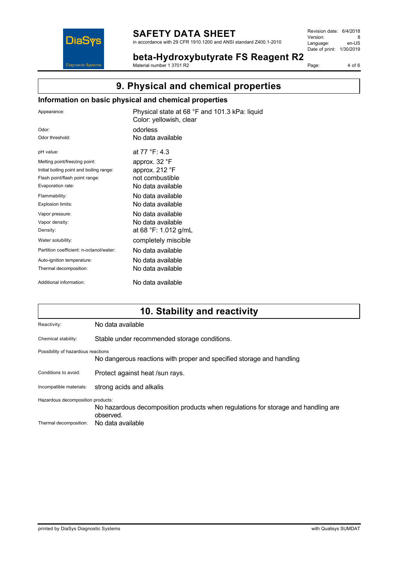

in accordance with 29 CFR 1910.1200 and ANSI standard Z400.1-2010

Revision date: 6/4/2018 Version: 8<br>
Language: en-US Language: Date of print: 1/30/2019

**beta-Hydroxybutyrate FS Reagent R2**

Page: 4 of 6

## **9. Physical and chemical properties**

## **Information on basic physical and chemical properties**

Material number 1 3701 R2

| Appearance:                              | Physical state at 68 °F and 101.3 kPa: liquid<br>Color: yellowish, clear |
|------------------------------------------|--------------------------------------------------------------------------|
| Odor:                                    | odorless                                                                 |
| Odor threshold:                          | No data available                                                        |
| pH value:                                | at 77 °F: 4.3                                                            |
| Melting point/freezing point:            | approx. 32 °F                                                            |
| Initial boiling point and boiling range: | approx. 212 °F                                                           |
| Flash point/flash point range:           | not combustible                                                          |
| Evaporation rate:                        | No data available                                                        |
| Flammability:                            | No data available                                                        |
| Explosion limits:                        | No data available                                                        |
| Vapor pressure:                          | No data available                                                        |
| Vapor density:                           | No data available                                                        |
| Density:                                 | at 68 °F: 1.012 g/mL                                                     |
| Water solubility:                        | completely miscible                                                      |
| Partition coefficient: n-octanol/water:  | No data available                                                        |
| Auto-ignition temperature:               | No data available                                                        |
| Thermal decomposition:                   | No data available                                                        |
| Additional information:                  | No data available                                                        |

# **10. Stability and reactivity**

| Reactivity:                        | No data available                                                                              |  |
|------------------------------------|------------------------------------------------------------------------------------------------|--|
| Chemical stability:                | Stable under recommended storage conditions.                                                   |  |
| Possibility of hazardous reactions | No dangerous reactions with proper and specified storage and handling                          |  |
| Conditions to avoid:               | Protect against heat /sun rays.                                                                |  |
| Incompatible materials:            | strong acids and alkalis                                                                       |  |
| Hazardous decomposition products:  |                                                                                                |  |
|                                    | No hazardous decomposition products when regulations for storage and handling are<br>observed. |  |
| Thermal decomposition:             | No data available                                                                              |  |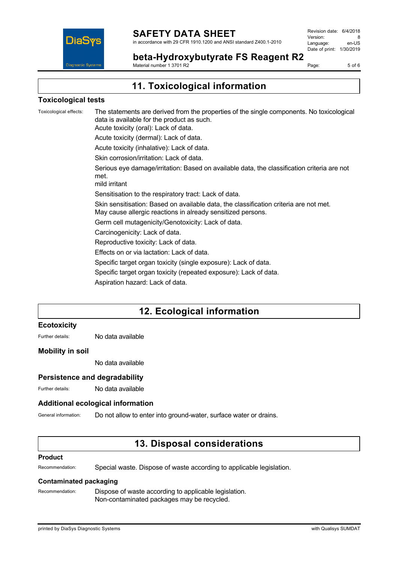

**beta-Hydroxybutyrate FS Reagent R2**

Material number 1 3701 R2

Page: 5 of 6

## **11. Toxicological information**

## **Toxicological tests**

Toxicological effects: The statements are derived from the properties of the single components. No toxicological data is available for the product as such. Acute toxicity (oral): Lack of data. Acute toxicity (dermal): Lack of data. Acute toxicity (inhalative): Lack of data. Skin corrosion/irritation: Lack of data. Serious eye damage/irritation: Based on available data, the classification criteria are not met. mild irritant Sensitisation to the respiratory tract: Lack of data. Skin sensitisation: Based on available data, the classification criteria are not met. May cause allergic reactions in already sensitized persons. Germ cell mutagenicity/Genotoxicity: Lack of data. Carcinogenicity: Lack of data. Reproductive toxicity: Lack of data. Effects on or via lactation: Lack of data. Specific target organ toxicity (single exposure): Lack of data. Specific target organ toxicity (repeated exposure): Lack of data. Aspiration hazard: Lack of data.

## **12. Ecological information**

## **Ecotoxicity**

Further details: No data available

## **Mobility in soil**

No data available

#### **Persistence and degradability**

Further details: No data available

## **Additional ecological information**

General information: Do not allow to enter into ground-water, surface water or drains.

## **13. Disposal considerations**

#### **Product**

Recommendation: Special waste. Dispose of waste according to applicable legislation.

### **Contaminated packaging**

Recommendation: Dispose of waste according to applicable legislation. Non-contaminated packages may be recycled.